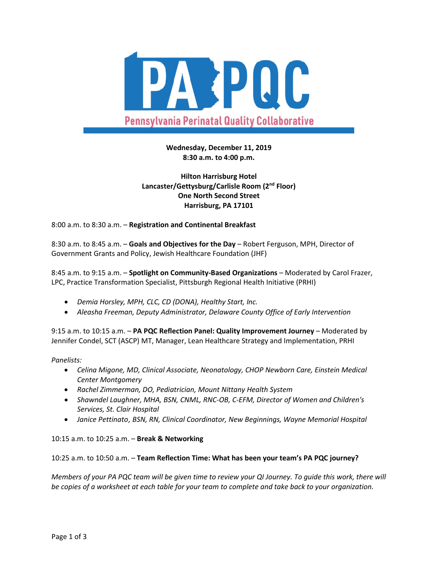

# **Wednesday, December 11, 2019 8:30 a.m. to 4:00 p.m.**

# **Hilton Harrisburg Hotel Lancaster/Gettysburg/Carlisle Room (2nd Floor) One North Second Street Harrisburg, PA 17101**

8:00 a.m. to 8:30 a.m. – **Registration and Continental Breakfast**

8:30 a.m. to 8:45 a.m. – **Goals and Objectives for the Day** – Robert Ferguson, MPH, Director of Government Grants and Policy, Jewish Healthcare Foundation (JHF)

8:45 a.m. to 9:15 a.m. – **Spotlight on Community-Based Organizations** – Moderated by Carol Frazer, LPC, Practice Transformation Specialist, Pittsburgh Regional Health Initiative (PRHI)

- *Demia Horsley, MPH, CLC, CD (DONA), Healthy Start, Inc.*
- *Aleasha Freeman, Deputy Administrator, Delaware County Office of Early Intervention*

9:15 a.m. to 10:15 a.m. – **PA PQC Reflection Panel: Quality Improvement Journey** – Moderated by Jennifer Condel, SCT (ASCP) MT, Manager, Lean Healthcare Strategy and Implementation, PRHI

### *Panelists:*

- *Celina Migone, MD, Clinical Associate, Neonatology, CHOP Newborn Care, Einstein Medical Center Montgomery*
- *Rachel Zimmerman, DO, Pediatrician, Mount Nittany Health System*
- *Shawndel Laughner, MHA, BSN, CNML, RNC-OB, C-EFM, Director of Women and Children's Services, St. Clair Hospital*
- *Janice Pettinato, BSN, RN, Clinical Coordinator, New Beginnings, Wayne Memorial Hospital*

10:15 a.m. to 10:25 a.m. – **Break & Networking**

### 10:25 a.m. to 10:50 a.m. – **Team Reflection Time: What has been your team's PA PQC journey?**

*Members of your PA PQC team will be given time to review your QI Journey. To guide this work, there will be copies of a worksheet at each table for your team to complete and take back to your organization.*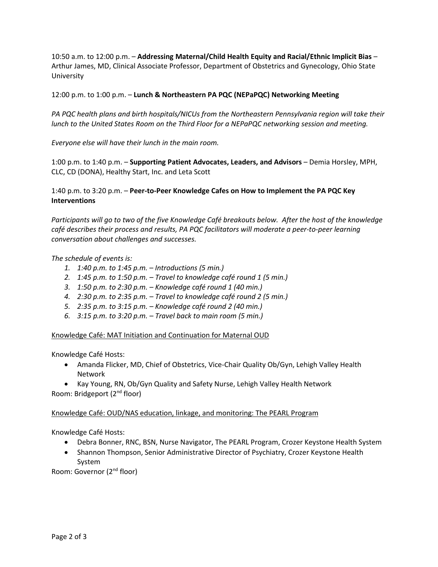10:50 a.m. to 12:00 p.m. – **Addressing Maternal/Child Health Equity and Racial/Ethnic Implicit Bias** – Arthur James, MD, Clinical Associate Professor, Department of Obstetrics and Gynecology, Ohio State University

12:00 p.m. to 1:00 p.m. – **Lunch & Northeastern PA PQC (NEPaPQC) Networking Meeting**

*PA PQC health plans and birth hospitals/NICUs from the Northeastern Pennsylvania region will take their lunch to the United States Room on the Third Floor for a NEPaPQC networking session and meeting.*

*Everyone else will have their lunch in the main room.* 

1:00 p.m. to 1:40 p.m. – **Supporting Patient Advocates, Leaders, and Advisors** – Demia Horsley, MPH, CLC, CD (DONA), Healthy Start, Inc. and Leta Scott

## 1:40 p.m. to 3:20 p.m. – **Peer-to-Peer Knowledge Cafes on How to Implement the PA PQC Key Interventions**

*Participants will go to two of the five Knowledge Café breakouts below. After the host of the knowledge café describes their process and results, PA PQC facilitators will moderate a peer-to-peer learning conversation about challenges and successes.*

### *The schedule of events is:*

- *1. 1:40 p.m. to 1:45 p.m. – Introductions (5 min.)*
- *2. 1:45 p.m. to 1:50 p.m. – Travel to knowledge café round 1 (5 min.)*
- *3. 1:50 p.m. to 2:30 p.m. – Knowledge café round 1 (40 min.)*
- *4. 2:30 p.m. to 2:35 p.m. – Travel to knowledge café round 2 (5 min.)*
- *5. 2:35 p.m. to 3:15 p.m. – Knowledge café round 2 (40 min.)*
- *6. 3:15 p.m. to 3:20 p.m. – Travel back to main room (5 min.)*

### Knowledge Café: MAT Initiation and Continuation for Maternal OUD

Knowledge Café Hosts:

- Amanda Flicker, MD, Chief of Obstetrics, Vice-Chair Quality Ob/Gyn, Lehigh Valley Health Network
- Kay Young, RN, Ob/Gyn Quality and Safety Nurse, Lehigh Valley Health Network Room: Bridgeport (2nd floor)

### Knowledge Café: OUD/NAS education, linkage, and monitoring: The PEARL Program

Knowledge Café Hosts:

- Debra Bonner, RNC, BSN, Nurse Navigator, The PEARL Program, Crozer Keystone Health System
- Shannon Thompson, Senior Administrative Director of Psychiatry, Crozer Keystone Health System

Room: Governor (2nd floor)